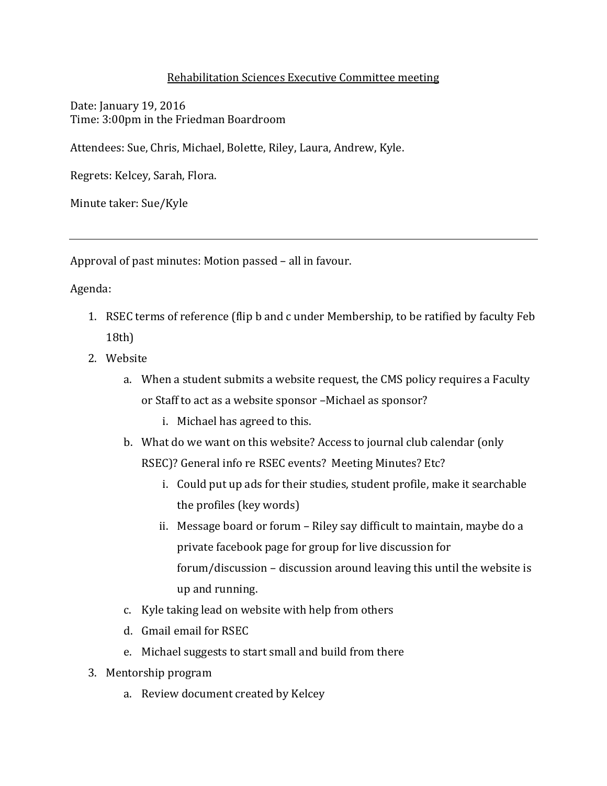## Rehabilitation Sciences Executive Committee meeting

Date: January 19, 2016 Time: 3:00pm in the Friedman Boardroom

Attendees: Sue, Chris, Michael, Bolette, Riley, Laura, Andrew, Kyle.

Regrets: Kelcey, Sarah, Flora.

Minute taker: Sue/Kyle

Approval of past minutes: Motion passed – all in favour.

Agenda:

- 1. RSEC terms of reference (flip b and c under Membership, to be ratified by faculty Feb 18th)
- 2. Website
	- a. When a student submits a website request, the CMS policy requires a Faculty or Staff to act as a website sponsor –Michael as sponsor?
		- i. Michael has agreed to this.
	- b. What do we want on this website? Access to journal club calendar (only RSEC)? General info re RSEC events? Meeting Minutes? Etc?
		- i. Could put up ads for their studies, student profile, make it searchable the profiles (key words)
		- ii. Message board or forum Riley say difficult to maintain, maybe do a private facebook page for group for live discussion for forum/discussion – discussion around leaving this until the website is up and running.
	- c. Kyle taking lead on website with help from others
	- d. Gmail email for RSEC
	- e. Michael suggests to start small and build from there
- 3. Mentorship program
	- a. Review document created by Kelcey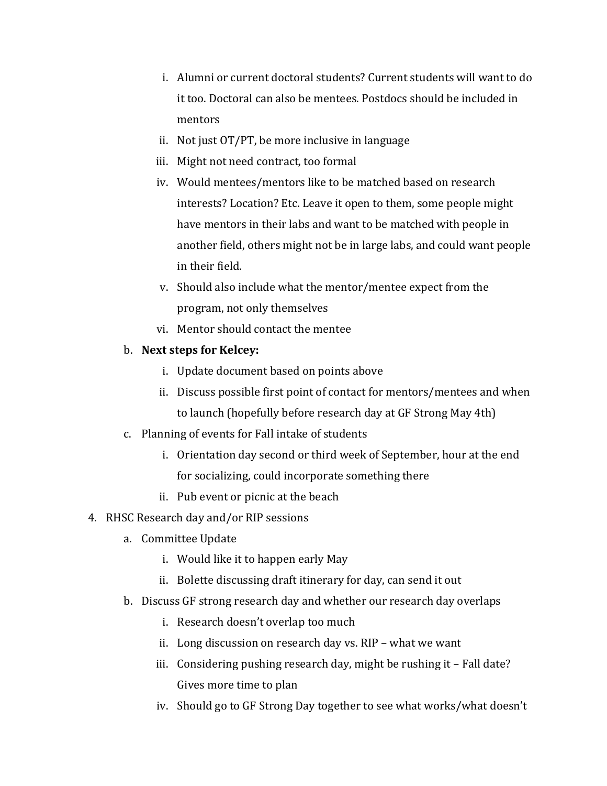- i. Alumni or current doctoral students? Current students will want to do it too. Doctoral can also be mentees. Postdocs should be included in mentors
- ii. Not just OT/PT, be more inclusive in language
- iii. Might not need contract, too formal
- iv. Would mentees/mentors like to be matched based on research interests? Location? Etc. Leave it open to them, some people might have mentors in their labs and want to be matched with people in another field, others might not be in large labs, and could want people in their field.
- v. Should also include what the mentor/mentee expect from the program, not only themselves
- vi. Mentor should contact the mentee

## b. **Next steps for Kelcey:**

- i. Update document based on points above
- ii. Discuss possible first point of contact for mentors/mentees and when to launch (hopefully before research day at GF Strong May 4th)
- c. Planning of events for Fall intake of students
	- i. Orientation day second or third week of September, hour at the end for socializing, could incorporate something there
	- ii. Pub event or picnic at the beach
- 4. RHSC Research day and/or RIP sessions
	- a. Committee Update
		- i. Would like it to happen early May
		- ii. Bolette discussing draft itinerary for day, can send it out
	- b. Discuss GF strong research day and whether our research day overlaps
		- i. Research doesn't overlap too much
		- ii. Long discussion on research day vs. RIP what we want
		- iii. Considering pushing research day, might be rushing it Fall date? Gives more time to plan
		- iv. Should go to GF Strong Day together to see what works/what doesn't